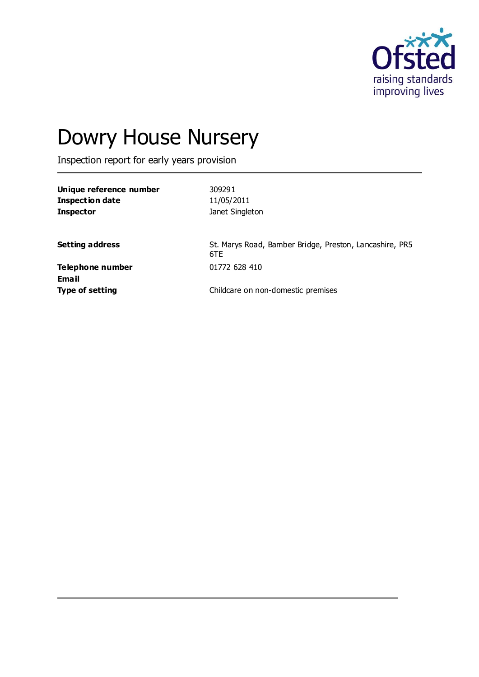

# Dowry House Nursery

Inspection report for early years provision

| Unique reference number | 309291                                                         |
|-------------------------|----------------------------------------------------------------|
| <b>Inspection date</b>  | 11/05/2011                                                     |
| <b>Inspector</b>        | Janet Singleton                                                |
|                         |                                                                |
| <b>Setting address</b>  | St. Marys Road, Bamber Bridge, Preston, Lancashire, PR5<br>6TE |
| Telephone number        | 01772 628 410                                                  |
| <b>Email</b>            |                                                                |
| <b>Type of setting</b>  | Childcare on non-domestic premises                             |
|                         |                                                                |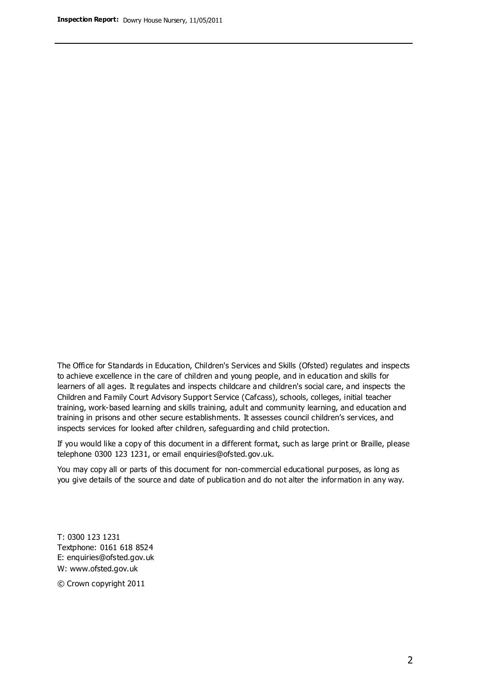The Office for Standards in Education, Children's Services and Skills (Ofsted) regulates and inspects to achieve excellence in the care of children and young people, and in education and skills for learners of all ages. It regulates and inspects childcare and children's social care, and inspects the Children and Family Court Advisory Support Service (Cafcass), schools, colleges, initial teacher training, work-based learning and skills training, adult and community learning, and education and training in prisons and other secure establishments. It assesses council children's services, and inspects services for looked after children, safeguarding and child protection.

If you would like a copy of this document in a different format, such as large print or Braille, please telephone 0300 123 1231, or email enquiries@ofsted.gov.uk.

You may copy all or parts of this document for non-commercial educational purposes, as long as you give details of the source and date of publication and do not alter the information in any way.

T: 0300 123 1231 Textphone: 0161 618 8524 E: enquiries@ofsted.gov.uk W: [www.ofsted.gov.uk](http://www.ofsted.gov.uk/)

© Crown copyright 2011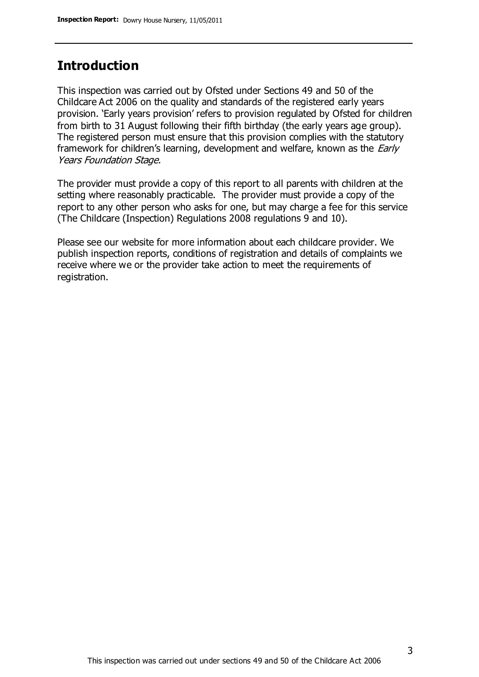### **Introduction**

This inspection was carried out by Ofsted under Sections 49 and 50 of the Childcare Act 2006 on the quality and standards of the registered early years provision. 'Early years provision' refers to provision regulated by Ofsted for children from birth to 31 August following their fifth birthday (the early years age group). The registered person must ensure that this provision complies with the statutory framework for children's learning, development and welfare, known as the *Early* Years Foundation Stage.

The provider must provide a copy of this report to all parents with children at the setting where reasonably practicable. The provider must provide a copy of the report to any other person who asks for one, but may charge a fee for this service (The Childcare (Inspection) Regulations 2008 regulations 9 and 10).

Please see our website for more information about each childcare provider. We publish inspection reports, conditions of registration and details of complaints we receive where we or the provider take action to meet the requirements of registration.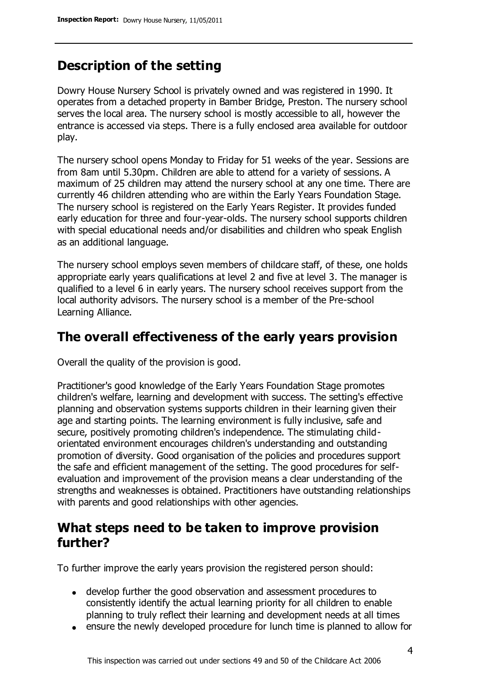# **Description of the setting**

Dowry House Nursery School is privately owned and was registered in 1990. It operates from a detached property in Bamber Bridge, Preston. The nursery school serves the local area. The nursery school is mostly accessible to all, however the entrance is accessed via steps. There is a fully enclosed area available for outdoor play.

The nursery school opens Monday to Friday for 51 weeks of the year. Sessions are from 8am until 5.30pm. Children are able to attend for a variety of sessions. A maximum of 25 children may attend the nursery school at any one time. There are currently 46 children attending who are within the Early Years Foundation Stage. The nursery school is registered on the Early Years Register. It provides funded early education for three and four-year-olds. The nursery school supports children with special educational needs and/or disabilities and children who speak English as an additional language.

The nursery school employs seven members of childcare staff, of these, one holds appropriate early years qualifications at level 2 and five at level 3. The manager is qualified to a level 6 in early years. The nursery school receives support from the local authority advisors. The nursery school is a member of the Pre-school Learning Alliance.

### **The overall effectiveness of the early years provision**

Overall the quality of the provision is good.

Practitioner's good knowledge of the Early Years Foundation Stage promotes children's welfare, learning and development with success. The setting's effective planning and observation systems supports children in their learning given their age and starting points. The learning environment is fully inclusive, safe and secure, positively promoting children's independence. The stimulating childorientated environment encourages children's understanding and outstanding promotion of diversity. Good organisation of the policies and procedures support the safe and efficient management of the setting. The good procedures for selfevaluation and improvement of the provision means a clear understanding of the strengths and weaknesses is obtained. Practitioners have outstanding relationships with parents and good relationships with other agencies.

### **What steps need to be taken to improve provision further?**

To further improve the early years provision the registered person should:

- develop further the good observation and assessment procedures to consistently identify the actual learning priority for all children to enable planning to truly reflect their learning and development needs at all times
- ensure the newly developed procedure for lunch time is planned to allow for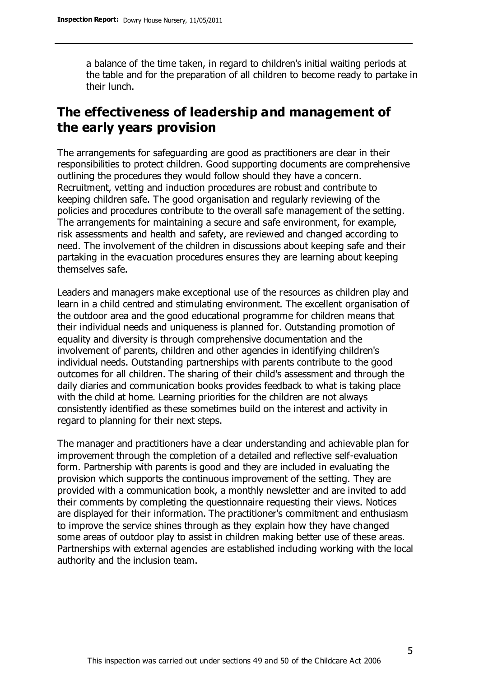a balance of the time taken, in regard to children's initial waiting periods at the table and for the preparation of all children to become ready to partake in their lunch.

# **The effectiveness of leadership and management of the early years provision**

The arrangements for safeguarding are good as practitioners are clear in their responsibilities to protect children. Good supporting documents are comprehensive outlining the procedures they would follow should they have a concern. Recruitment, vetting and induction procedures are robust and contribute to keeping children safe. The good organisation and regularly reviewing of the policies and procedures contribute to the overall safe management of the setting. The arrangements for maintaining a secure and safe environment, for example, risk assessments and health and safety, are reviewed and changed according to need. The involvement of the children in discussions about keeping safe and their partaking in the evacuation procedures ensures they are learning about keeping themselves safe.

Leaders and managers make exceptional use of the resources as children play and learn in a child centred and stimulating environment. The excellent organisation of the outdoor area and the good educational programme for children means that their individual needs and uniqueness is planned for. Outstanding promotion of equality and diversity is through comprehensive documentation and the involvement of parents, children and other agencies in identifying children's individual needs. Outstanding partnerships with parents contribute to the good outcomes for all children. The sharing of their child's assessment and through the daily diaries and communication books provides feedback to what is taking place with the child at home. Learning priorities for the children are not always consistently identified as these sometimes build on the interest and activity in regard to planning for their next steps.

The manager and practitioners have a clear understanding and achievable plan for improvement through the completion of a detailed and reflective self-evaluation form. Partnership with parents is good and they are included in evaluating the provision which supports the continuous improvement of the setting. They are provided with a communication book, a monthly newsletter and are invited to add their comments by completing the questionnaire requesting their views. Notices are displayed for their information. The practitioner's commitment and enthusiasm to improve the service shines through as they explain how they have changed some areas of outdoor play to assist in children making better use of these areas. Partnerships with external agencies are established including working with the local authority and the inclusion team.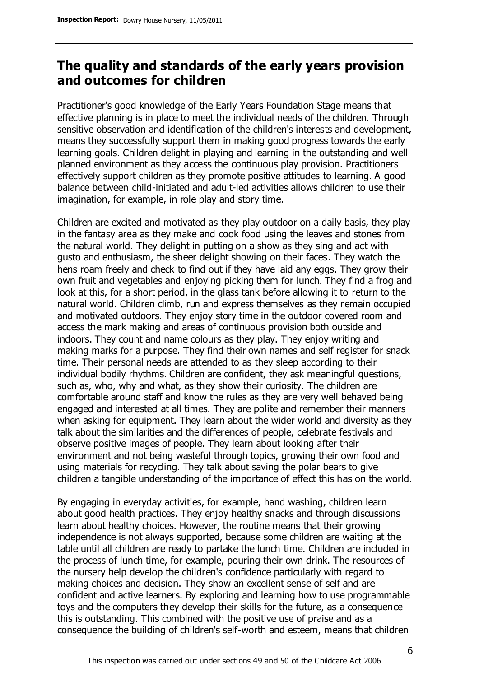# **The quality and standards of the early years provision and outcomes for children**

Practitioner's good knowledge of the Early Years Foundation Stage means that effective planning is in place to meet the individual needs of the children. Through sensitive observation and identification of the children's interests and development, means they successfully support them in making good progress towards the early learning goals. Children delight in playing and learning in the outstanding and well planned environment as they access the continuous play provision. Practitioners effectively support children as they promote positive attitudes to learning. A good balance between child-initiated and adult-led activities allows children to use their imagination, for example, in role play and story time.

Children are excited and motivated as they play outdoor on a daily basis, they play in the fantasy area as they make and cook food using the leaves and stones from the natural world. They delight in putting on a show as they sing and act with gusto and enthusiasm, the sheer delight showing on their faces. They watch the hens roam freely and check to find out if they have laid any eggs. They grow their own fruit and vegetables and enjoying picking them for lunch. They find a frog and look at this, for a short period, in the glass tank before allowing it to return to the natural world. Children climb, run and express themselves as they remain occupied and motivated outdoors. They enjoy story time in the outdoor covered room and access the mark making and areas of continuous provision both outside and indoors. They count and name colours as they play. They enjoy writing and making marks for a purpose. They find their own names and self register for snack time. Their personal needs are attended to as they sleep according to their individual bodily rhythms. Children are confident, they ask meaningful questions, such as, who, why and what, as they show their curiosity. The children are comfortable around staff and know the rules as they are very well behaved being engaged and interested at all times. They are polite and remember their manners when asking for equipment. They learn about the wider world and diversity as they talk about the similarities and the differences of people, celebrate festivals and observe positive images of people. They learn about looking after their environment and not being wasteful through topics, growing their own food and using materials for recycling. They talk about saving the polar bears to give children a tangible understanding of the importance of effect this has on the world.

By engaging in everyday activities, for example, hand washing, children learn about good health practices. They enjoy healthy snacks and through discussions learn about healthy choices. However, the routine means that their growing independence is not always supported, because some children are waiting at the table until all children are ready to partake the lunch time. Children are included in the process of lunch time, for example, pouring their own drink. The resources of the nursery help develop the children's confidence particularly with regard to making choices and decision. They show an excellent sense of self and are confident and active learners. By exploring and learning how to use programmable toys and the computers they develop their skills for the future, as a consequence this is outstanding. This combined with the positive use of praise and as a consequence the building of children's self-worth and esteem, means that children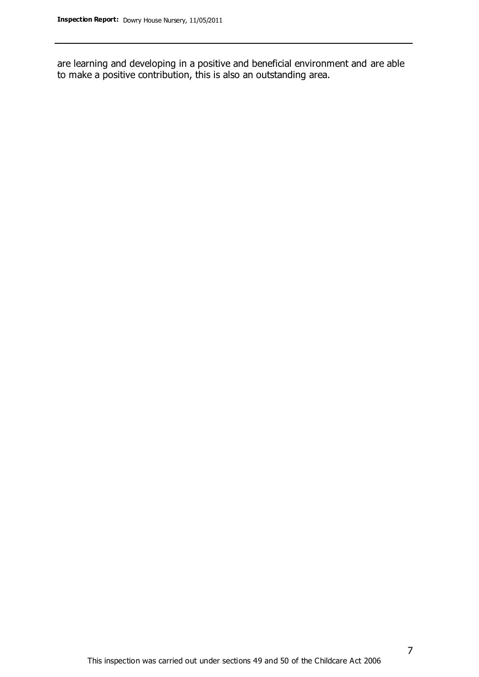are learning and developing in a positive and beneficial environment and are able to make a positive contribution, this is also an outstanding area.